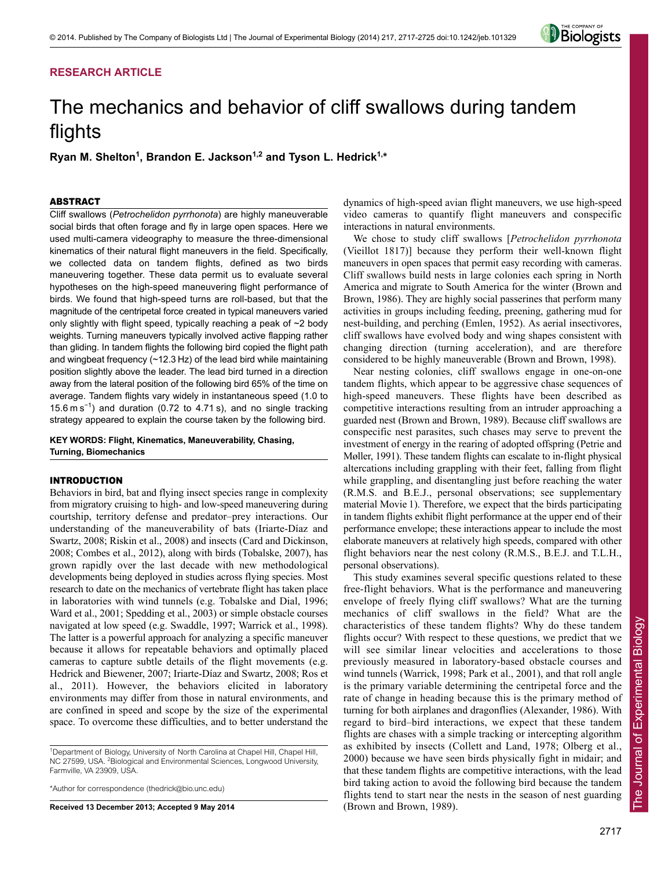# **RESEARCH ARTICLE**



# The mechanics and behavior of cliff swallows during tandem flights

Ryan M. Shelton<sup>1</sup>, Brandon E. Jackson<sup>1,2</sup> and Tyson L. Hedrick<sup>1,\*</sup>

# ABSTRACT

Cliff swallows (*Petrochelidon pyrrhonota*) are highly maneuverable social birds that often forage and fly in large open spaces. Here we used multi-camera videography to measure the three-dimensional kinematics of their natural flight maneuvers in the field. Specifically, we collected data on tandem flights, defined as two birds maneuvering together. These data permit us to evaluate several hypotheses on the high-speed maneuvering flight performance of birds. We found that high-speed turns are roll-based, but that the magnitude of the centripetal force created in typical maneuvers varied only slightly with flight speed, typically reaching a peak of ~2 body weights. Turning maneuvers typically involved active flapping rather than gliding. In tandem flights the following bird copied the flight path and wingbeat frequency (~12.3 Hz) of the lead bird while maintaining position slightly above the leader. The lead bird turned in a direction away from the lateral position of the following bird 65% of the time on average. Tandem flights vary widely in instantaneous speed (1.0 to 15.6 m s<sup>−</sup><sup>1</sup> ) and duration (0.72 to 4.71 s), and no single tracking strategy appeared to explain the course taken by the following bird.

# **KEY WORDS: Flight, Kinematics, Maneuverability, Chasing, Turning, Biomechanics**

# INTRODUCTION

Behaviors in bird, bat and flying insect species range in complexity from migratory cruising to high- and low-speed maneuvering during courtship, territory defense and predator–prey interactions. Our understanding of the maneuverability of bats (Iriarte-Díaz and Swartz, 2008; Riskin et al., 2008) and insects (Card and Dickinson, 2008; Combes et al., 2012), along with birds (Tobalske, 2007), has grown rapidly over the last decade with new methodological developments being deployed in studies across flying species. Most research to date on the mechanics of vertebrate flight has taken place in laboratories with wind tunnels (e.g. Tobalske and Dial, 1996; Ward et al., 2001; Spedding et al., 2003) or simple obstacle courses navigated at low speed (e.g. Swaddle, 1997; Warrick et al., 1998). The latter is a powerful approach for analyzing a specific maneuver because it allows for repeatable behaviors and optimally placed cameras to capture subtle details of the flight movements (e.g. Hedrick and Biewener, 2007; Iriarte-Díaz and Swartz, 2008; Ros et al., 2011). However, the behaviors elicited in laboratory environments may differ from those in natural environments, and are confined in speed and scope by the size of the experimental space. To overcome these difficulties, and to better understand the

\*Author for correspondence (thedrick@bio.unc.edu)

**Received 13 December 2013; Accepted 9 May 2014**

dynamics of high-speed avian flight maneuvers, we use high-speed video cameras to quantify flight maneuvers and conspecific interactions in natural environments.

We chose to study cliff swallows [*Petrochelidon pyrrhonota* (Vieillot 1817)] because they perform their well-known flight maneuvers in open spaces that permit easy recording with cameras. Cliff swallows build nests in large colonies each spring in North America and migrate to South America for the winter (Brown and Brown, 1986). They are highly social passerines that perform many activities in groups including feeding, preening, gathering mud for nest-building, and perching (Emlen, 1952). As aerial insectivores, cliff swallows have evolved body and wing shapes consistent with changing direction (turning acceleration), and are therefore considered to be highly maneuverable (Brown and Brown, 1998).

Near nesting colonies, cliff swallows engage in one-on-one tandem flights, which appear to be aggressive chase sequences of high-speed maneuvers. These flights have been described as competitive interactions resulting from an intruder approaching a guarded nest (Brown and Brown, 1989). Because cliff swallows are conspecific nest parasites, such chases may serve to prevent the investment of energy in the rearing of adopted offspring (Petrie and Møller, 1991). These tandem flights can escalate to in-flight physical altercations including grappling with their feet, falling from flight while grappling, and disentangling just before reaching the water (R.M.S. and B.E.J., personal observations; see supplementary material Movie 1). Therefore, we expect that the birds participating in tandem flights exhibit flight performance at the upper end of their performance envelope; these interactions appear to include the most elaborate maneuvers at relatively high speeds, compared with other flight behaviors near the nest colony (R.M.S., B.E.J. and T.L.H., personal observations).

This study examines several specific questions related to these free-flight behaviors. What is the performance and maneuvering envelope of freely flying cliff swallows? What are the turning mechanics of cliff swallows in the field? What are the characteristics of these tandem flights? Why do these tandem flights occur? With respect to these questions, we predict that we will see similar linear velocities and accelerations to those previously measured in laboratory-based obstacle courses and wind tunnels (Warrick, 1998; Park et al., 2001), and that roll angle is the primary variable determining the centripetal force and the rate of change in heading because this is the primary method of turning for both airplanes and dragonflies (Alexander, 1986). With regard to bird–bird interactions, we expect that these tandem flights are chases with a simple tracking or intercepting algorithm as exhibited by insects (Collett and Land, 1978; Olberg et al., 2000) because we have seen birds physically fight in midair; and that these tandem flights are competitive interactions, with the lead bird taking action to avoid the following bird because the tandem flights tend to start near the nests in the season of nest guarding (Brown and Brown, 1989).

<sup>&</sup>lt;sup>1</sup>Department of Biology, University of North Carolina at Chapel Hill, Chapel Hill, NC 27599, USA. <sup>2</sup> Biological and Environmental Sciences, Longwood University, Farmville, VA 23909, USA.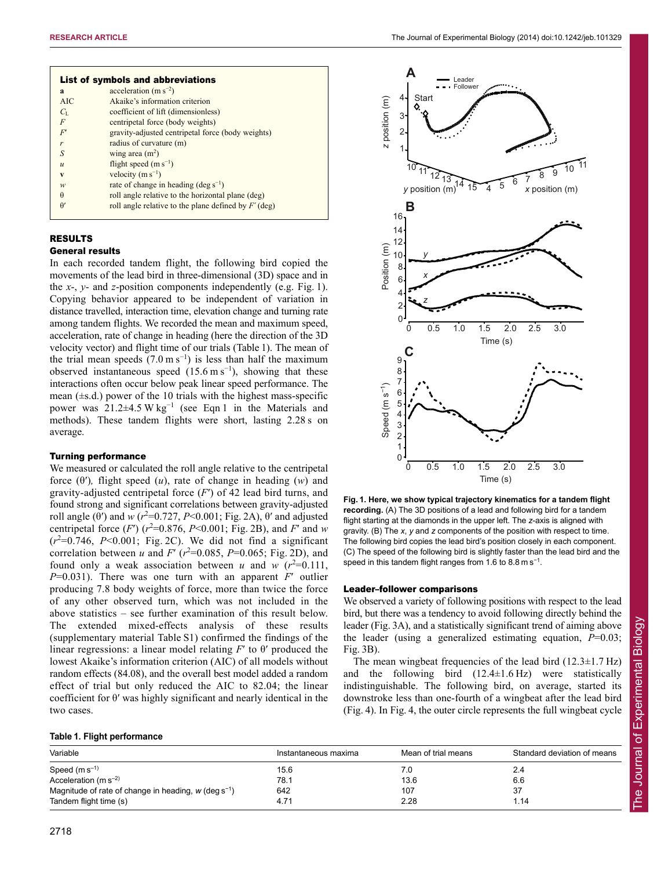|                  | List of symbols and abbreviations                      |
|------------------|--------------------------------------------------------|
| a                | acceleration $(m s^{-2})$                              |
| AIC              | Akaike's information criterion                         |
| $C_{\rm L}$      | coefficient of lift (dimensionless)                    |
| F                | centripetal force (body weights)                       |
| F'               | gravity-adjusted centripetal force (body weights)      |
| r                | radius of curvature (m)                                |
| S                | wing area $(m2)$                                       |
| $\boldsymbol{u}$ | flight speed $(m s^{-1})$                              |
| V                | velocity $(m s^{-1})$                                  |
| w                | rate of change in heading $(\text{deg } s^{-1})$       |
| $\theta$         | roll angle relative to the horizontal plane (deg)      |
| $\theta'$        | roll angle relative to the plane defined by $F'$ (deg) |
|                  |                                                        |

# RESULTS

#### General results

In each recorded tandem flight, the following bird copied the movements of the lead bird in three-dimensional (3D) space and in the *x*-, *y*- and *z*-position components independently (e.g. Fig. 1). Copying behavior appeared to be independent of variation in distance travelled, interaction time, elevation change and turning rate among tandem flights. We recorded the mean and maximum speed, acceleration, rate of change in heading (here the direction of the 3D velocity vector) and flight time of our trials (Table 1). The mean of the trial mean speeds  $(7.0 \text{ m s}^{-1})$  is less than half the maximum observed instantaneous speed  $(15.6 \text{ m s}^{-1})$ , showing that these interactions often occur below peak linear speed performance. The mean  $(\pm s.d.)$  power of the 10 trials with the highest mass-specific power was  $21.2\pm4.5 \text{ W kg}^{-1}$  (see Eqn 1 in the Materials and methods). These tandem flights were short, lasting 2.28 s on average.

## Turning performance

We measured or calculated the roll angle relative to the centripetal force (θ′)*,* flight speed (*u*), rate of change in heading (*w*) and gravity-adjusted centripetal force (*F*′) of 42 lead bird turns, and found strong and significant correlations between gravity-adjusted roll angle ( $\theta'$ ) and *w* ( $r^2$ =0.727, *P*<0.001; Fig. 2A),  $\theta'$  and adjusted centripetal force  $(F')$   $(r^2=0.876, P<0.001;$  Fig. 2B), and *F'* and *w*  $(r^2=0.746, P<0.001$ ; Fig. 2C). We did not find a significant correlation between *u* and *F'* ( $r^2$ =0.085, *P*=0.065; Fig. 2D), and found only a weak association between *u* and *w*  $(r^2=0.111,$ *P*=0.031). There was one turn with an apparent *F*′ outlier producing 7.8 body weights of force, more than twice the force of any other observed turn, which was not included in the above statistics – see further examination of this result below. The extended mixed-effects analysis of these results (supplementary material Table S1) confirmed the findings of the linear regressions: a linear model relating *F*′ to θ′ produced the lowest Akaike's information criterion (AIC) of all models without random effects (84.08), and the overall best model added a random effect of trial but only reduced the AIC to 82.04; the linear coefficient for θ′ was highly significant and nearly identical in the two cases.



**Fig. 1. Here, we show typical trajectory kinematics for a tandem flight recording.** (A) The 3D positions of a lead and following bird for a tandem flight starting at the diamonds in the upper left. The *z*-axis is aligned with gravity. (B) The *x*, *y* and *z* components of the position with respect to time. The following bird copies the lead bird's position closely in each component. (C) The speed of the following bird is slightly faster than the lead bird and the speed in this tandem flight ranges from 1.6 to 8.8 m s<sup>-1</sup>.

## Leader–follower comparisons

We observed a variety of following positions with respect to the lead bird, but there was a tendency to avoid following directly behind the leader (Fig. 3A), and a statistically significant trend of aiming above the leader (using a generalized estimating equation, *P*=0.03; Fig. 3B).

The mean wingbeat frequencies of the lead bird  $(12.3 \pm 1.7 \text{ Hz})$ and the following bird  $(12.4 \pm 1.6 \text{ Hz})$  were statistically indistinguishable. The following bird, on average, started its downstroke less than one-fourth of a wingbeat after the lead bird (Fig. 4). In Fig. 4, the outer circle represents the full wingbeat cycle

### **Table 1. Flight performance**

| Variable                                                           | Instantaneous maxima | Mean of trial means | Standard deviation of means |  |  |
|--------------------------------------------------------------------|----------------------|---------------------|-----------------------------|--|--|
| Speed $(m s^{-1})$                                                 | 15.6                 |                     | 2.4                         |  |  |
| Acceleration (m $s^{-2}$ )                                         | 78.1                 | 13.6                | 6.6                         |  |  |
| Magnitude of rate of change in heading, $w$ (deg s <sup>-1</sup> ) | 642                  | 107                 | 37                          |  |  |
| Tandem flight time (s)                                             | 4.71                 | 2.28                | 1.14                        |  |  |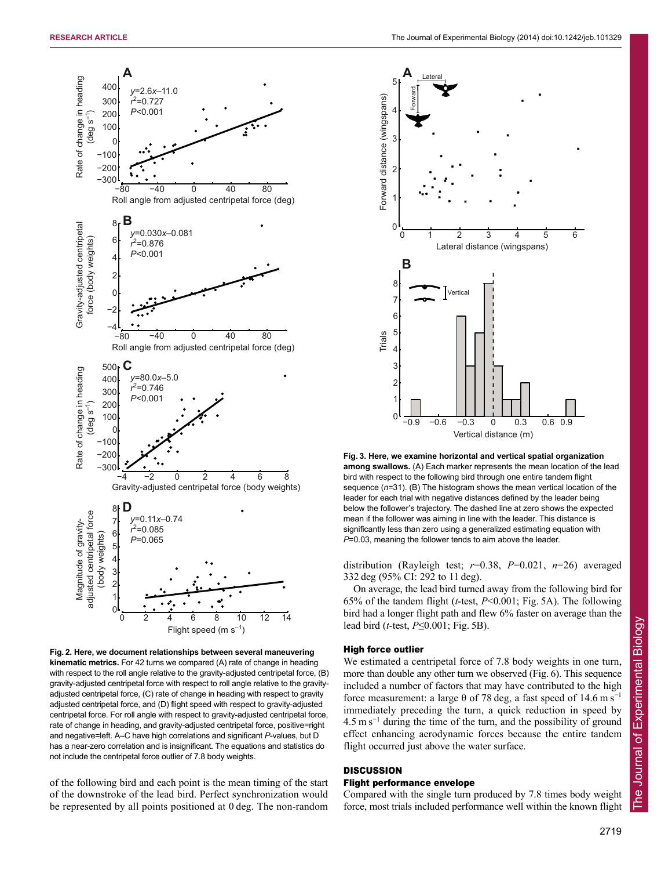

**Fig. 2. Here, we document relationships between several maneuvering kinematic metrics.** For 42 turns we compared (A) rate of change in heading with respect to the roll angle relative to the gravity-adjusted centripetal force, (B) gravity-adjusted centripetal force with respect to roll angle relative to the gravityadjusted centripetal force, (C) rate of change in heading with respect to gravity adjusted centripetal force, and (D) flight speed with respect to gravity-adjusted centripetal force. For roll angle with respect to gravity -adjusted centripetal force, rate of change in heading, and gravity-adjusted centripetal force, positive=right and negative=left. A–C have high correlations and significant *P*-values, but D has a near-zero correlation and is insignificant. The equations and statistics do not include the centripetal force outlier of 7.8 body weights.

of the following bird and each point is the mean timing of the start of the downstroke of the lead bird. Perfect synchronization would be represented by all points positioned at 0 deg. The non-random



**Fig. 3. Here, we examine horizontal and vertical spatial organization among swallows.** (A) Each marker represents the mean location of the lead bird with respect to the following bird through one entire tandem flight sequence (*n*=31). (B) The histogram shows the mean vertical location of the leader for each trial with negative distances defined by the leader being below the follower's trajectory. The dashed line at zero shows the expected mean if the follower was aiming in line with the leader. This distance is significantly less than zero using a generalized estimating equation with *P*=0.03, meaning the follower tends to aim above the leader.

distribution (Rayleigh test; *r*=0.38, *P*=0.021, *n*=26) averaged 332 deg (95% CI: 292 to 11 deg).

On average, the lead bird turned away from the following bird for 65% of the tandem flight (*t*-test, *P*<0.001; Fig. 5A). The following bird had a longer flight path and flew 6% faster on average than the lead bird (*t*-test, *P*≤0.001; Fig. 5B).

#### High force outlier

We estimated a centripetal force of 7.8 body weights in one turn, more than double any other turn we observed (Fig. 6). This sequence included a number of factors that may have contributed to the high force measurement: a large  $\theta$  of 78 deg, a fast speed of 14.6 m s<sup>-1</sup> immediately preceding the turn, a quick reduction in speed by  $4.5 \text{ m s}^{-1}$  during the time of the turn, and the possibility of ground effect enhancing aerodynamic forces because the entire tandem flight occurred just above the water surface.

# **DISCUSSION**

## Flight performance envelope

Compared with the single turn produced by 7.8 times body weight force, most trials included performance well within the known flight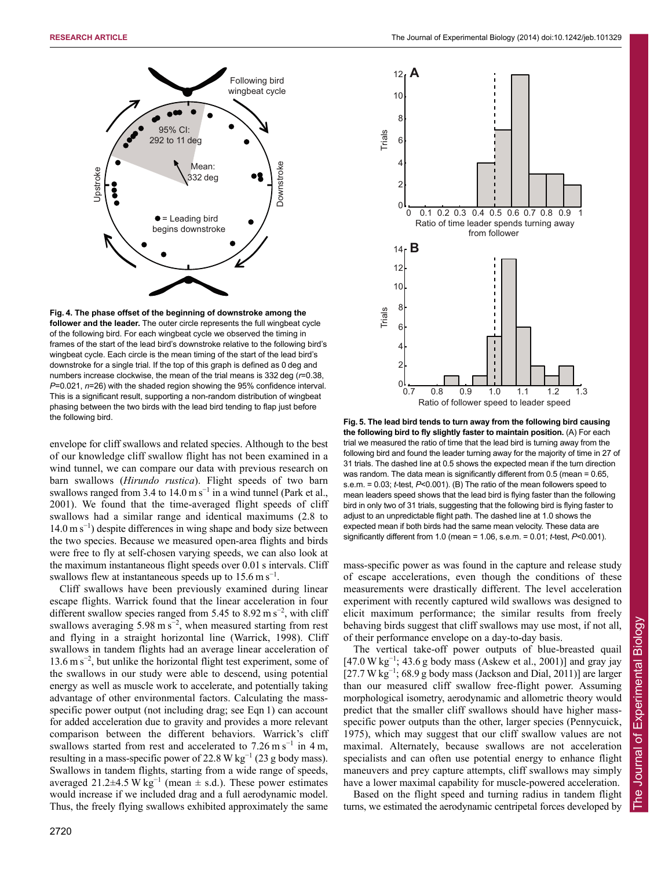

**Fig. 4. The phase offset of the beginning of downstroke among the follower and the leader.** The outer circle represents the full wingbeat cycle of the following bird. For each wingbeat cycle we observed the timing in frames of the start of the lead bird's downstroke relative to the following bird's wingbeat cycle. Each circle is the mean timing of the start of the lead bird's downstroke for a single trial. If the top of this graph is defined as 0 deg and numbers increase clockwise, the mean of the trial means is 332 deg (*r*=0.38, *P*=0.021, *n*=26) with the shaded region showing the 95% confidence interval. This is a significant result, supporting a non-random distribution of wingbeat phasing between the two birds with the lead bird tending to flap just before the following bird.

envelope for cliff swallows and related species. Although to the best of our knowledge cliff swallow flight has not been examined in a wind tunnel, we can compare our data with previous research on barn swallows (*Hirundo rustica*). Flight speeds of two barn swallows ranged from 3.4 to  $14.0 \text{ m s}^{-1}$  in a wind tunnel (Park et al., 2001). We found that the time-averaged flight speeds of cliff swallows had a similar range and identical maximums (2.8 to  $14.0 \text{ m s}^{-1}$ ) despite differences in wing shape and body size between the two species. Because we measured open-area flights and birds were free to fly at self-chosen varying speeds, we can also look at the maximum instantaneous flight speeds over 0.01 s intervals. Cliff swallows flew at instantaneous speeds up to  $15.6 \text{ m s}^{-1}$ .

Cliff swallows have been previously examined during linear escape flights. Warrick found that the linear acceleration in four different swallow species ranged from 5.45 to 8.92 m s<sup>-2</sup>, with cliff swallows averaging 5.98 m  $s^{-2}$ , when measured starting from rest and flying in a straight horizontal line (Warrick, 1998). Cliff swallows in tandem flights had an average linear acceleration of 13.6 m s<sup>−</sup><sup>2</sup> , but unlike the horizontal flight test experiment, some of the swallows in our study were able to descend, using potential energy as well as muscle work to accelerate, and potentially taking advantage of other environmental factors. Calculating the massspecific power output (not including drag; see Eqn 1) can account for added acceleration due to gravity and provides a more relevant comparison between the different behaviors. Warrick's cliff swallows started from rest and accelerated to  $7.26 \text{ m s}^{-1}$  in 4 m, resulting in a mass-specific power of 22.8 W kg<sup>-1</sup> (23 g body mass). Swallows in tandem flights, starting from a wide range of speeds, averaged 21.2±4.5 W kg<sup>-1</sup> (mean  $\pm$  s.d.). These power estimates would increase if we included drag and a full aerodynamic model. Thus, the freely flying swallows exhibited approximately the same



**Fig. 5. The lead bird tends to turn away from the following bird causing the following bird to fly slightly faster to maintain position.** (A) For each trial we measured the ratio of time that the lead bird is turning away from the following bird and found the leader turning away for the majority of time in 27 of 31 trials. The dashed line at 0.5 shows the expected mean if the turn direction was random. The data mean is significantly different from 0.5 (mean  $= 0.65$ . s.e.m. = 0.03; *t*-test, *P*<0.001). (B) The ratio of the mean followers speed to mean leaders speed shows that the lead bird is flying faster than the following bird in only two of 31 trials, suggesting that the following bird is flying faster to adjust to an unpredictable flight path. The dashed line at 1.0 shows the expected mean if both birds had the same mean velocity. These data are significantly different from 1.0 (mean = 1.06, s.e.m. = 0.01; *t*-test, *P*<0.001).

mass-specific power as was found in the capture and release study of escape accelerations, even though the conditions of these measurements were drastically different. The level acceleration experiment with recently captured wild swallows was designed to elicit maximum performance; the similar results from freely behaving birds suggest that cliff swallows may use most, if not all, of their performance envelope on a day-to-day basis.

The vertical take-off power outputs of blue-breasted quail  $[47.0 W kg<sup>-1</sup>; 43.6 g body mass (Askew et al., 2001)] and gray jay$ [27.7 W kg<sup>-1</sup>; 68.9 g body mass (Jackson and Dial, 2011)] are larger than our measured cliff swallow free-flight power. Assuming morphological isometry, aerodynamic and allometric theory would predict that the smaller cliff swallows should have higher massspecific power outputs than the other, larger species (Pennycuick, 1975), which may suggest that our cliff swallow values are not maximal. Alternately, because swallows are not acceleration specialists and can often use potential energy to enhance flight maneuvers and prey capture attempts, cliff swallows may simply have a lower maximal capability for muscle-powered acceleration.

Based on the flight speed and turning radius in tandem flight turns, we estimated the aerodynamic centripetal forces developed by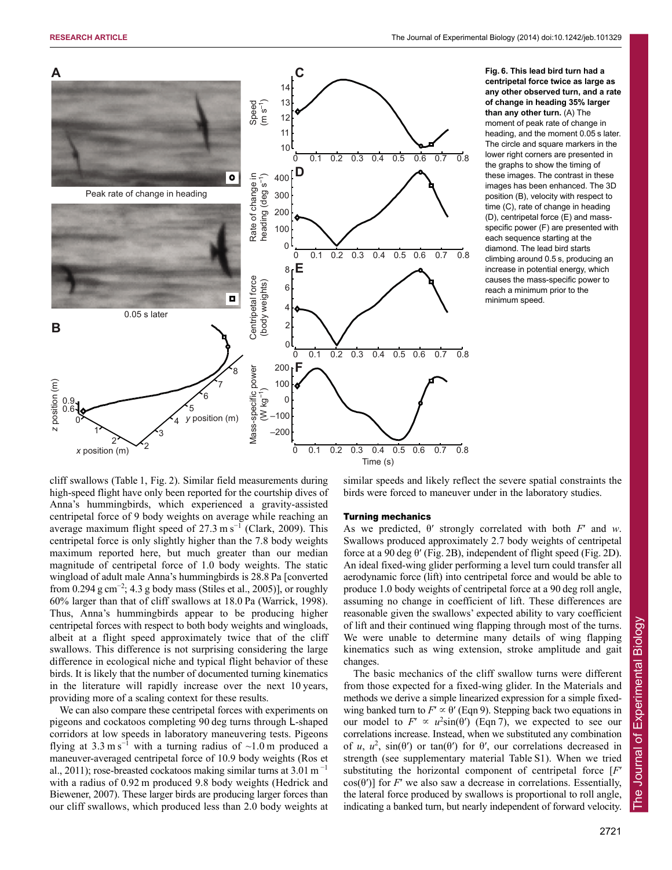

**centripetal force twice as large as any other observed turn, and a rate of change in heading 35% larger than any other turn.** (A) The moment of peak rate of change in heading, and the moment 0.05 s later. The circle and square markers in the lower right corners are presented in the graphs to show the timing of these images. The contrast in these images has been enhanced. The 3D position (B), velocity with respect to time (C), rate of change in heading (D), centripetal force (E) and massspecific power (F) are presented with each sequence starting at the diamond. The lead bird starts climbing around 0.5 s, producing an increase in potential energy, which causes the mass-specific power to reach a minimum prior to the minimum speed.

cliff swallows (Table 1, Fig. 2). Similar field measurements during high-speed flight have only been reported for the courtship dives of Anna's hummingbirds, which experienced a gravity-assisted centripetal force of 9 body weights on average while reaching an average maximum flight speed of 27.3 m s<sup>-1</sup> (Clark, 2009). This centripetal force is only slightly higher than the 7.8 body weights maximum reported here, but much greater than our median magnitude of centripetal force of 1.0 body weights. The static wingload of adult male Anna's hummingbirds is 28.8 Pa [converted from 0.294 g cm<sup>-2</sup>; 4.3 g body mass (Stiles et al., 2005)], or roughly 60% larger than that of cliff swallows at 18.0 Pa (Warrick, 1998). Thus, Anna's hummingbirds appear to be producing higher centripetal forces with respect to both body weights and wingloads, albeit at a flight speed approximately twice that of the cliff swallows. This difference is not surprising considering the large difference in ecological niche and typical flight behavior of these birds. It is likely that the number of documented turning kinematics in the literature will rapidly increase over the next 10 years, providing more of a scaling context for these results.

We can also compare these centripetal forces with experiments on pigeons and cockatoos completing 90 deg turns through L-shaped corridors at low speeds in laboratory maneuvering tests. Pigeons flying at  $3.3 \text{ m s}^{-1}$  with a turning radius of ~1.0 m produced a maneuver-averaged centripetal force of 10.9 body weights (Ros et al., 2011); rose-breasted cockatoos making similar turns at  $3.01 \text{ m}^{-1}$ with a radius of 0.92 m produced 9.8 body weights (Hedrick and Biewener, 2007). These larger birds are producing larger forces than our cliff swallows, which produced less than 2.0 body weights at similar speeds and likely reflect the severe spatial constraints the birds were forced to maneuver under in the laboratory studies.

#### Turning mechanics

As we predicted, θ′ strongly correlated with both *F*′ and *w*. Swallows produced approximately 2.7 body weights of centripetal force at a 90 deg θ′ (Fig. 2B), independent of flight speed (Fig. 2D). An ideal fixed-wing glider performing a level turn could transfer all aerodynamic force (lift) into centripetal force and would be able to produce 1.0 body weights of centripetal force at a 90 deg roll angle, assuming no change in coefficient of lift. These differences are reasonable given the swallows' expected ability to vary coefficient of lift and their continued wing flapping through most of the turns. We were unable to determine many details of wing flapping kinematics such as wing extension, stroke amplitude and gait changes.

The basic mechanics of the cliff swallow turns were different from those expected for a fixed-wing glider. In the Materials and methods we derive a simple linearized expression for a simple fixedwing banked turn to  $F' \propto \theta'$  (Eqn 9). Stepping back two equations in our model to  $F' \propto u^2 \sin(\theta)$  (Eqn 7), we expected to see our correlations increase. Instead, when we substituted any combination of *u*,  $u^2$ , sin( $\theta'$ ) or tan( $\theta'$ ) for  $\theta'$ , our correlations decreased in strength (see supplementary material Table S1). When we tried substituting the horizontal component of centripetal force [*F*′ cos( $\theta'$ )] for *F'* we also saw a decrease in correlations. Essentially, the lateral force produced by swallows is proportional to roll angle, indicating a banked turn, but nearly independent of forward velocity.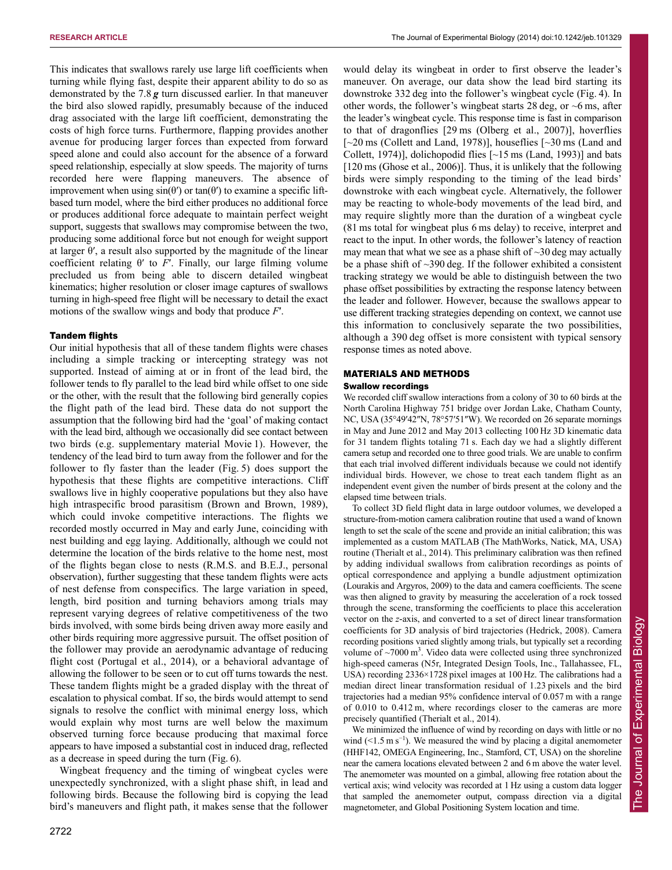This indicates that swallows rarely use large lift coefficients when turning while flying fast, despite their apparent ability to do so as demonstrated by the 7.8 *g* turn discussed earlier. In that maneuver the bird also slowed rapidly, presumably because of the induced drag associated with the large lift coefficient, demonstrating the costs of high force turns. Furthermore, flapping provides another avenue for producing larger forces than expected from forward speed alone and could also account for the absence of a forward speed relationship, especially at slow speeds. The majority of turns recorded here were flapping maneuvers. The absence of improvement when using  $sin(θ')$  or  $tan(θ')$  to examine a specific liftbased turn model, where the bird either produces no additional force or produces additional force adequate to maintain perfect weight support, suggests that swallows may compromise between the two, producing some additional force but not enough for weight support at larger  $\theta'$ , a result also supported by the magnitude of the linear coefficient relating  $θ'$  to  $F'$ . Finally, our large filming volume precluded us from being able to discern detailed wingbeat kinematics; higher resolution or closer image captures of swallows turning in high-speed free flight will be necessary to detail the exact motions of the swallow wings and body that produce *F*′.

#### Tandem flights

Our initial hypothesis that all of these tandem flights were chases including a simple tracking or intercepting strategy was not supported. Instead of aiming at or in front of the lead bird, the follower tends to fly parallel to the lead bird while offset to one side or the other, with the result that the following bird generally copies the flight path of the lead bird. These data do not support the assumption that the following bird had the 'goal' of making contact with the lead bird, although we occasionally did see contact between two birds (e.g. supplementary material Movie 1). However, the tendency of the lead bird to turn away from the follower and for the follower to fly faster than the leader (Fig. 5) does support the hypothesis that these flights are competitive interactions. Cliff swallows live in highly cooperative populations but they also have high intraspecific brood parasitism (Brown and Brown, 1989), which could invoke competitive interactions. The flights we recorded mostly occurred in May and early June, coinciding with nest building and egg laying. Additionally, although we could not determine the location of the birds relative to the home nest, most of the flights began close to nests (R.M.S. and B.E.J., personal observation), further suggesting that these tandem flights were acts of nest defense from conspecifics. The large variation in speed, length, bird position and turning behaviors among trials may represent varying degrees of relative competitiveness of the two birds involved, with some birds being driven away more easily and other birds requiring more aggressive pursuit. The offset position of the follower may provide an aerodynamic advantage of reducing flight cost (Portugal et al., 2014), or a behavioral advantage of allowing the follower to be seen or to cut off turns towards the nest. These tandem flights might be a graded display with the threat of escalation to physical combat. If so, the birds would attempt to send signals to resolve the conflict with minimal energy loss, which would explain why most turns are well below the maximum observed turning force because producing that maximal force appears to have imposed a substantial cost in induced drag, reflected as a decrease in speed during the turn (Fig. 6).

Wingbeat frequency and the timing of wingbeat cycles were unexpectedly synchronized, with a slight phase shift, in lead and following birds. Because the following bird is copying the lead bird's maneuvers and flight path, it makes sense that the follower would delay its wingbeat in order to first observe the leader's maneuver. On average, our data show the lead bird starting its downstroke 332 deg into the follower's wingbeat cycle (Fig. 4). In other words, the follower's wingbeat starts 28 deg, or ~6 ms, after the leader's wingbeat cycle. This response time is fast in comparison to that of dragonflies [29 ms (Olberg et al., 2007)], hoverflies  $\sim$  20 ms (Collett and Land, 1978)], houseflies  $\sim$  30 ms (Land and Collett, 1974)], dolichopodid flies [~15 ms (Land, 1993)] and bats [120 ms (Ghose et al., 2006)]. Thus, it is unlikely that the following birds were simply responding to the timing of the lead birds' downstroke with each wingbeat cycle. Alternatively, the follower may be reacting to whole-body movements of the lead bird, and may require slightly more than the duration of a wingbeat cycle (81 ms total for wingbeat plus 6 ms delay) to receive, interpret and react to the input. In other words, the follower's latency of reaction may mean that what we see as a phase shift of  $\sim$ 30 deg may actually be a phase shift of ~390 deg. If the follower exhibited a consistent tracking strategy we would be able to distinguish between the two phase offset possibilities by extracting the response latency between the leader and follower. However, because the swallows appear to use different tracking strategies depending on context, we cannot use this information to conclusively separate the two possibilities, although a 390 deg offset is more consistent with typical sensory response times as noted above.

## MATERIALS AND METHODS

#### Swallow recordings

We recorded cliff swallow interactions from a colony of 30 to 60 birds at the North Carolina Highway 751 bridge over Jordan Lake, Chatham County, NC, USA (35°49′42″N, 78°57′51″W). We recorded on 26 separate mornings in May and June 2012 and May 2013 collecting 100 Hz 3D kinematic data for 31 tandem flights totaling 71 s. Each day we had a slightly different camera setup and recorded one to three good trials. We are unable to confirm that each trial involved different individuals because we could not identify individual birds. However, we chose to treat each tandem flight as an independent event given the number of birds present at the colony and the elapsed time between trials.

To collect 3D field flight data in large outdoor volumes, we developed a structure-from-motion camera calibration routine that used a wand of known length to set the scale of the scene and provide an initial calibration; this was implemented as a custom MATLAB (The MathWorks, Natick, MA, USA) routine (Therialt et al., 2014). This preliminary calibration was then refined by adding individual swallows from calibration recordings as points of optical correspondence and applying a bundle adjustment optimization (Lourakis and Argyros, 2009) to the data and camera coefficients. The scene was then aligned to gravity by measuring the acceleration of a rock tossed through the scene, transforming the coefficients to place this acceleration vector on the *z*-axis, and converted to a set of direct linear transformation coefficients for 3D analysis of bird trajectories (Hedrick, 2008). Camera recording positions varied slightly among trials, but typically set a recording volume of  $\sim$ 7000 m<sup>3</sup>. Video data were collected using three synchronized high-speed cameras (N5r, Integrated Design Tools, Inc., Tallahassee, FL, USA) recording 2336×1728 pixel images at 100 Hz. The calibrations had a median direct linear transformation residual of 1.23 pixels and the bird trajectories had a median 95% confidence interval of 0.057 m with a range of 0.010 to 0.412 m, where recordings closer to the cameras are more precisely quantified (Therialt et al., 2014).

We minimized the influence of wind by recording on days with little or no wind  $(<1.5 \text{ m s}^{-1})$ . We measured the wind by placing a digital anemometer (HHF142, OMEGA Engineering, Inc., Stamford, CT, USA) on the shoreline near the camera locations elevated between 2 and 6 m above the water level. The anemometer was mounted on a gimbal, allowing free rotation about the vertical axis; wind velocity was recorded at 1 Hz using a custom data logger that sampled the anemometer output, compass direction via a digital magnetometer, and Global Positioning System location and time.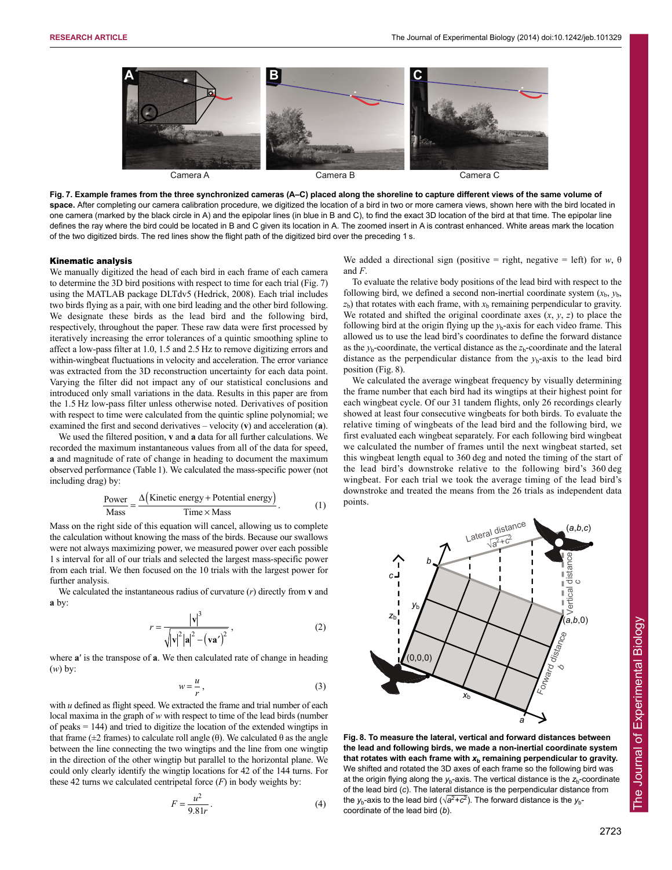

**Fig. 7. Example frames from the three synchronized cameras (A–C) placed along the shoreline to capture different views of the same volume of space.** After completing our camera calibration procedure, we digitized the location of a bird in two or more camera views, shown here with the bird located in one camera (marked by the black circle in A) and the epipolar lines (in blue in B and C), to find the exact 3D location of the bird at that time. The epipolar line defines the ray where the bird could be located in B and C given its location in A. The zoomed insert in A is contrast enhanced. White areas mark the location of the two digitized birds. The red lines show the flight path of the digitized bird over the preceding 1 s.

#### Kinematic analysis

We manually digitized the head of each bird in each frame of each camera to determine the 3D bird positions with respect to time for each trial (Fig. 7) using the MATLAB package DLTdv5 (Hedrick, 2008). Each trial includes two birds flying as a pair, with one bird leading and the other bird following. We designate these birds as the lead bird and the following bird, respectively, throughout the paper. These raw data were first processed by iteratively increasing the error tolerances of a quintic smoothing spline to affect a low-pass filter at 1.0, 1.5 and 2.5 Hz to remove digitizing errors and within-wingbeat fluctuations in velocity and acceleration. The error variance was extracted from the 3D reconstruction uncertainty for each data point. Varying the filter did not impact any of our statistical conclusions and introduced only small variations in the data. Results in this paper are from the 1.5 Hz low-pass filter unless otherwise noted. Derivatives of position with respect to time were calculated from the quintic spline polynomial; we examined the first and second derivatives – velocity (**v**) and acceleration (**a**).

We used the filtered position, **v** and **a** data for all further calculations. We recorded the maximum instantaneous values from all of the data for speed, **a** and magnitude of rate of change in heading to document the maximum observed performance (Table 1). We calculated the mass-specific power (not including drag) by:

$$
\frac{\text{Power}}{\text{Mass}} = \frac{\Delta(\text{Kinetic energy} + \text{Potential energy})}{\text{Time} \times \text{Mass}}.
$$
 (1)

Mass on the right side of this equation will cancel, allowing us to complete the calculation without knowing the mass of the birds. Because our swallows were not always maximizing power, we measured power over each possible 1 s interval for all of our trials and selected the largest mass-specific power from each trial. We then focused on the 10 trials with the largest power for further analysis.

We calculated the instantaneous radius of curvature (*r*) directly from **v** and **a** by:

$$
r = \frac{|v|^3}{\sqrt{|v|^2 |a|^2 - (va')^2}},
$$
 (2)

where **a**′ is the transpose of **a**. We then calculated rate of change in heading (*w*) by:

$$
w = \frac{u}{r},\tag{3}
$$

with *u* defined as flight speed. We extracted the frame and trial number of each local maxima in the graph of *w* with respect to time of the lead birds (number of peaks = 144) and tried to digitize the location of the extended wingtips in that frame ( $\pm$ 2 frames) to calculate roll angle (θ). We calculated θ as the angle between the line connecting the two wingtips and the line from one wingtip in the direction of the other wingtip but parallel to the horizontal plane. We could only clearly identify the wingtip locations for 42 of the 144 turns. For these 42 turns we calculated centripetal force  $(F)$  in body weights by:

$$
F = \frac{u^2}{9.81r} \tag{4}
$$

We added a directional sign (positive = right, negative = left) for  $w$ ,  $\theta$ and *F*.

To evaluate the relative body positions of the lead bird with respect to the following bird, we defined a second non-inertial coordinate system  $(x<sub>b</sub>, y<sub>b</sub>)$ ,  $z<sub>b</sub>$ ) that rotates with each frame, with  $x<sub>b</sub>$  remaining perpendicular to gravity. We rotated and shifted the original coordinate axes  $(x, y, z)$  to place the following bird at the origin flying up the  $y<sub>b</sub>$ -axis for each video frame. This allowed us to use the lead bird's coordinates to define the forward distance as the  $y_b$ -coordinate, the vertical distance as the  $z_b$ -coordinate and the lateral distance as the perpendicular distance from the  $y<sub>b</sub>$ -axis to the lead bird position (Fig. 8).

We calculated the average wingbeat frequency by visually determining the frame number that each bird had its wingtips at their highest point for each wingbeat cycle. Of our 31 tandem flights, only 26 recordings clearly showed at least four consecutive wingbeats for both birds. To evaluate the relative timing of wingbeats of the lead bird and the following bird, we first evaluated each wingbeat separately. For each following bird wingbeat we calculated the number of frames until the next wingbeat started, set this wingbeat length equal to 360 deg and noted the timing of the start of the lead bird's downstroke relative to the following bird's 360 deg wingbeat. For each trial we took the average timing of the lead bird's downstroke and treated the means from the 26 trials as independent data points.



**the lead and following birds, we made a non-inertial coordinate system** that rotates with each frame with  $x<sub>b</sub>$  remaining perpendicular to gravity. We shifted and rotated the 3D axes of each frame so the following bird was at the origin flying along the  $y<sub>b</sub>$ -axis. The vertical distance is the  $z<sub>b</sub>$ -coordinate of the lead bird (*c*). The lateral distance is the perpendicular distance from the *y*<sub>b</sub>-axis to the lead bird ( $\sqrt{a^2+c^2}$ ). The forward distance is the *y*<sub>b</sub>coordinate of the lead bird (*b*).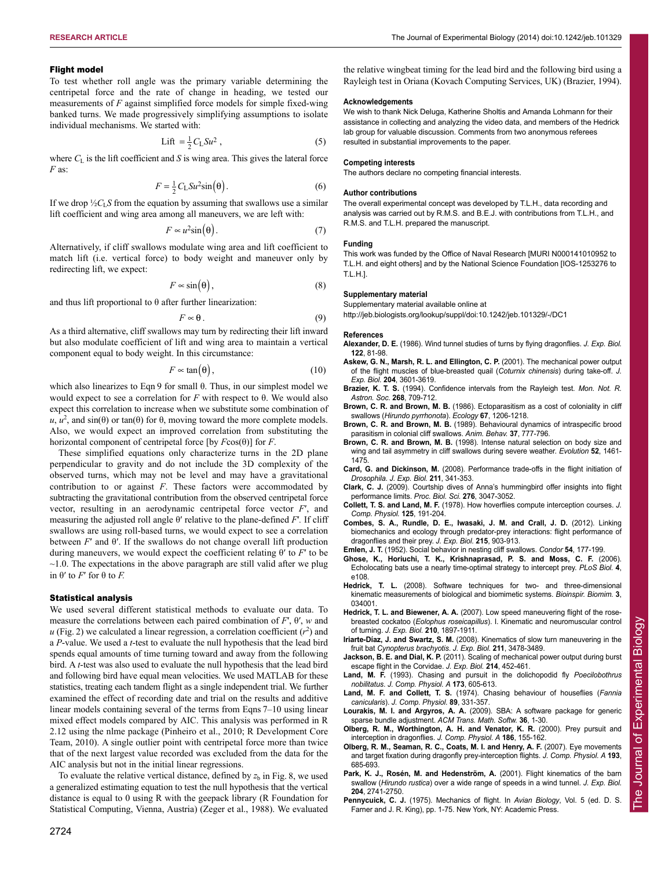the relative wingbeat timing for the lead bird and the following bird using a Rayleigh test in Oriana (Kovach Computing Services, UK) (Brazier, 1994).

We wish to thank Nick Deluga, Katherine Sholtis and Amanda Lohmann for their assistance in collecting and analyzing the video data, and members of the Hedrick lab group for valuable discussion. Comments from two anonymous referees

## Flight model

To test whether roll angle was the primary variable determining the centripetal force and the rate of change in heading, we tested our measurements of *F* against simplified force models for simple fixed-wing banked turns. We made progressively simplifying assumptions to isolate individual mechanisms. We started with:

$$
\text{Lift} = \frac{1}{2} C_{\text{L}} S u^2 \,, \tag{5}
$$

where  $C_L$  is the lift coefficient and  $S$  is wing area. This gives the lateral force *F* as:

$$
F = \frac{1}{2}C_{\text{L}}S u^2 \sin(\theta). \tag{6}
$$

If we drop  $\frac{1}{2}C_1S$  from the equation by assuming that swallows use a similar lift coefficient and wing area among all maneuvers, we are left with:

$$
F \approx u^2 \sin(\theta). \tag{7}
$$

Alternatively, if cliff swallows modulate wing area and lift coefficient to match lift (i.e. vertical force) to body weight and maneuver only by redirecting lift, we expect:

$$
F \propto \sin(\theta),\tag{8}
$$

and thus lift proportional to  $\theta$  after further linearization:

$$
F \approx \theta \,. \tag{9}
$$

As a third alternative, cliff swallows may turn by redirecting their lift inward but also modulate coefficient of lift and wing area to maintain a vertical component equal to body weight. In this circumstance:

$$
F \sim \tan(\theta), \tag{10}
$$

which also linearizes to Eqn 9 for small θ. Thus, in our simplest model we would expect to see a correlation for *F* with respect to θ. We would also expect this correlation to increase when we substitute some combination of  $u, u^2$ , and sin( $\theta$ ) or tan( $\theta$ ) for  $\theta$ , moving toward the more complete models. Also, we would expect an improved correlation from substituting the horizontal component of centripetal force [by *F*cos(θ)] for *F*.

These simplified equations only characterize turns in the 2D plane perpendicular to gravity and do not include the 3D complexity of the observed turns, which may not be level and may have a gravitational contribution to or against *F*. These factors were accommodated by subtracting the gravitational contribution from the observed centripetal force vector, resulting in an aerodynamic centripetal force vector *F*′, and measuring the adjusted roll angle θ′ relative to the plane-defined *F*′*.* If cliff swallows are using roll-based turns, we would expect to see a correlation between  $F'$  and  $\theta'$ . If the swallows do not change overall lift production during maneuvers, we would expect the coefficient relating θ′ to *F*′ to be  $\sim$ 1.0. The expectations in the above paragraph are still valid after we plug in θ′ to *F*′ for θ to *F.*

#### Statistical analysis

We used several different statistical methods to evaluate our data. To measure the correlations between each paired combination of *F*′, θ′, *w* and  $u$  (Fig. 2) we calculated a linear regression, a correlation coefficient  $(r^2)$  and a *P*-value. We used a *t*-test to evaluate the null hypothesis that the lead bird spends equal amounts of time turning toward and away from the following bird. A *t*-test was also used to evaluate the null hypothesis that the lead bird and following bird have equal mean velocities. We used MATLAB for these statistics, treating each tandem flight as a single independent trial. We further examined the effect of recording date and trial on the results and additive linear models containing several of the terms from Eqns 7–10 using linear mixed effect models compared by AIC. This analysis was performed in R 2.12 using the nlme package (Pinheiro et al., 2010; R Development Core Team, 2010). A single outlier point with centripetal force more than twice that of the next largest value recorded was excluded from the data for the AIC analysis but not in the initial linear regressions.

To evaluate the relative vertical distance, defined by  $z<sub>b</sub>$  in Fig. 8, we used a generalized estimating equation to test the null hypothesis that the vertical distance is equal to 0 using R with the geepack library (R Foundation for Statistical Computing, Vienna, Austria) (Zeger et al., 1988). We evaluated The authors declare no competing financial interests.

resulted in substantial improvements to the paper.

#### **Author contributions**

**Competing interests**

**Acknowledgements**

The overall experimental concept was developed by T.L.H., data recording and analysis was carried out by R.M.S. and B.E.J. with contributions from T.L.H., and R.M.S. and T.L.H. prepared the manuscript.

#### **Funding**

This work was funded by the Office of Naval Research [MURI N000141010952 to T.L.H. and eight others] and by the National Science Foundation [IOS-1253276 to T.L.H.].

#### **Supplementary material**

Supplementary material available online at

http://jeb.biologists.org/lookup/suppl/doi:10.1242/jeb.101329/-/DC1

#### **References**

- **Alexander, D. E.** (1986). Wind tunnel studies of turns by flying dragonflies. *J. Exp. Biol.* **122**, 81-98.
- **Askew, G. N., Marsh, R. L. and Ellington, C. P.** (2001). The mechanical power output of the flight muscles of blue-breasted quail (*Coturnix chinensis*) during take-off. *J. Exp. Biol.* **204**, 3601-3619.
- **Brazier, K. T. S.** (1994). Confidence intervals from the Rayleigh test. *Mon. Not. R. Astron. Soc.* **268**, 709-712.
- **Brown, C. R. and Brown, M. B.** (1986). Ectoparasitism as a cost of coloniality in cliff swallows (*Hirundo pyrrhonota*). *Ecology* **67**, 1206-1218.
- **Brown, C. R. and Brown, M. B.** (1989). Behavioural dynamics of intraspecific brood parasitism in colonial cliff swallows. *Anim. Behav.* **37**, 777-796.
- **Brown, C. R. and Brown, M. B.** (1998). Intense natural selection on body size and wing and tail asymmetry in cliff swallows during severe weather. *Evolution* **52**, 1461- 1475.
- **Card, G. and Dickinson, M.** (2008). Performance trade-offs in the flight initiation of *Drosophila*. *J. Exp. Biol.* **211**, 341-353.
- **Clark, C. J.** (2009). Courtship dives of Anna's hummingbird offer insights into flight performance limits. *Proc. Biol. Sci.* **276**, 3047-3052.
- **Collett, T. S. and Land, M. F.** (1978). How hoverflies compute interception courses. *J. Comp. Physiol.* **125**, 191-204.
- **Combes, S. A., Rundle, D. E., Iwasaki, J. M. and Crall, J. D.** (2012). Linking biomechanics and ecology through predator-prey interactions: flight performance of dragonflies and their prey. *J. Exp. Biol.* **215**, 903-913.
- **Emlen, J. T.** (1952). Social behavior in nesting cliff swallows. *Condor* **54**, 177-199.
- **Ghose, K., Horiuchi, T. K., Krishnaprasad, P. S. and Moss, C. F.** (2006). Echolocating bats use a nearly time-optimal strategy to intercept prey. *PLoS Biol.* **4**, e108.
- **Hedrick, T. L.** (2008). Software techniques for two- and three-dimensional kinematic measurements of biological and biomimetic systems. *Bioinspir. Biomim.* **3**, 034001.
- **Hedrick, T. L. and Biewener, A. A.** (2007). Low speed maneuvering flight of the rosebreasted cockatoo (*Eolophus roseicapillus*). I. Kinematic and neuromuscular control of turning. *J. Exp. Biol.* **210**, 1897-1911.
- **Iriarte-Díaz, J. and Swartz, S. M.** (2008). Kinematics of slow turn maneuvering in the fruit bat *Cynopterus brachyotis*. *J. Exp. Biol.* **211**, 3478-3489.
- **Jackson, B. E. and Dial, K. P.** (2011). Scaling of mechanical power output during burst escape flight in the Corvidae. *J. Exp. Biol.* **214**, 452-461.
- **Land, M. F.** (1993). Chasing and pursuit in the dolichopodid fly *Poecilobothrus nobilitatus*. *J. Comp. Physiol. A* **173**, 605-613.
- **Land, M. F. and Collett, T. S.** (1974). Chasing behaviour of houseflies (*Fannia canicularis*). *J. Comp. Physiol.* **89**, 331-357.
- **Lourakis, M. I. and Argyros, A. A.** (2009). SBA: A software package for generic sparse bundle adjustment. *ACM Trans. Math. Softw.* **36**, 1-30.
- **Olberg, R. M., Worthington, A. H. and Venator, K. R.** (2000). Prey pursuit and interception in dragonflies. *J. Comp. Physiol. A* **186**, 155-162.
- **Olberg, R. M., Seaman, R. C., Coats, M. I. and Henry, A. F.** (2007). Eye movements and target fixation during dragonfly prey-interception flights. *J. Comp. Physiol. A* **193**, 685-693.
- Park, K. J., Rosén, M. and Hedenström, A. (2001). Flight kinematics of the barn swallow (*Hirundo rustica*) over a wide range of speeds in a wind tunnel. *J. Exp. Biol.* **204**, 2741-2750.
- **Pennycuick, C. J.** (1975). Mechanics of flight. In *Avian Biology*, Vol. 5 (ed. D. S. Farner and J. R. King), pp. 1-75. New York, NY: Academic Press.